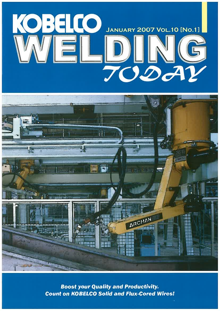



**Boost your Quality and Productivity. Count on KOBELCO Solid and Flux-Cored Wires!**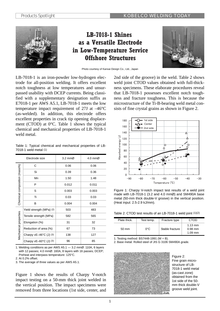

# *<u><b>I.B-7018-1* Shines</u> **as a Versatile Electrode Low-Temperature Service 2Iffshore Structures**



Photo courtesy of Kansai Design Co., Ltd., Japan

LB-7018-1 is an iron-powder low-hydrogen electrode for all-position welding. It offers excellent notch toughness at low temperatures and unsurpassed usability with DCEP currents. Being classified with a supplementary designation suffix as E7018-1 per AWS A5.1, LB-7018-1 meets the low temperature impact requirement of 27J at –46°C (as-welded). In addition, this electrode offers excellent properties in crack tip opening displacement (CTOD) at 0°C. Table 1 shows the typical chemical and mechanical properties of LB-7018-1 weld metal.

Table 1: Typical chemical and mechanical properties of LB-7018-1 weld metal (1)

|                              | Electrode size                  | $3.2 \text{ mm}$ Ø | 4.0 mmØ |  |
|------------------------------|---------------------------------|--------------------|---------|--|
|                              | С                               | 0.06               | 0.06    |  |
|                              | Si                              | 0.39               | 0.36    |  |
|                              | Mn                              | 1.50               | 1.48    |  |
|                              | P                               | 0.012              | 0.011   |  |
|                              | S                               | 0.003              | 0.003   |  |
| Chemical composition (mass%) | Ti                              | 0.03               | 0.03    |  |
|                              | В                               | 0.004              | 0.004   |  |
|                              | Yield strength (MPa) (2)        | 503                | 483     |  |
|                              | Tensile strength (MPa)          | 582                | 565     |  |
| Mechanical properties        | Elongation (%)                  | 31                 | 32      |  |
|                              | Reduction of area (%)           | 67                 | 73      |  |
|                              | Charpy $vE-46^{\circ}C$ (J) (3) | 138                | 127     |  |
|                              | Charpy $vE-60^{\circ}C$ (J) (3) | 96                 | 85      |  |

1. Welding conditions as per AWS A5.1 — 3.2 mmØ: 110A, 6 layers with 12 passes; 4.0 mmØ: 160A, 8 layers with 16 passes; DCEP; Preheat and interpass temperature: 125°C.

2. At 0.2% offset.

3. The average of three values as per AWS A5.1.

Figure 1 shows the results of Charpy V-notch impact testing on a 50-mm thick joint welded in the vertical position. The impact specimens were removed from three locations (1st side, center, and 2nd side of the groove) in the weld. Table 2 shows weld joint CTOD values obtained with full-thickness specimens. These elaborate procedures reveal that LB-7018-1 possesses excellent notch toughness and fracture toughness. This is because the microstructure of the Ti-B-bearing weld metal consists of fine crystal grains as shown in Figure 2.



Figure 1: Charpy V-notch impact test results of a weld joint made with LB-7018-1 (3.2 and 4.0 mmØ) and SM490A base metal (50-mm thick double-V groove) in the vertical position. (Heat input: 2.5-2.9 kJ/mm).

Table 2: CTOD test results of an LB-7018-1 weld joint (1)(2)

| Plate thick.    | Test temp. | Fracture type   | CTOD                                        |
|-----------------|------------|-----------------|---------------------------------------------|
| $50 \text{ mm}$ | 0°C        | Stable fracture | $1.13 \text{ mm}$<br>$0.98$ mm<br>$1.09$ mm |

1. Testing method: BS7448-1991 ( $W = B$ ).

2. Base metal: Rolled steel of JIS G 3106 SM490A grade.



Figure 2: Fine grain microstructure of LB-7018-1 weld metal (as-cast zone) obtained from the 1st side of the 50 mm thick double-V groove weld joint.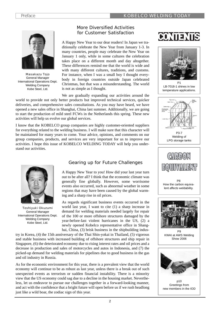

Masakazu Tojo General Manager International Operations Dept. Welding Company Kobe Steel, Ltd.

# More Diversified Activities for Customer Satisfaction

A Happy New Year to our dear readers! In Japan we traditionally celebrate the New Year from January 1-3. In many countries, people may celebrate the New Year on January 1 only, while in some cultures the celebration takes place on a different month and day altogether. These differences remind me that the world is wide and with many different cultures, traditions, and customs. For instance, when I was a small boy I thought everybody in foreign countries outside Japan celebrated Christmas, but that was a misunderstanding. The world is not as simple as I thought.

We are gradually expanding our activities around the world to provide not only better products but improved technical services, quicker deliveries, and comprehensive sales consultations. As you may have heard, we have opened a new sales office in Shanghai, China last summer. Additionally, we are going to start the production of mild steel FCWs in the Netherlands this spring. These new activities will help us evolve our global services.

I know that the KOBELCO group companies are highly customer-oriented suppliers for everything related to the welding business. I will make sure that this character will be maintained for many years to come. Your advice, opinions, and comments on our group companies, products, and services are very important for us to improve our activities. I hope this issue of KOBELCO WELDING TODAY will help you understand our activities.



Toshiyuki Okuzumi General Manager International Operations Dept. Welding Company Kobe Steel, Ltd.

# Gearing up for Future Challenges

A Happy New Year to you! How did your last year turn out to be after all? I think that the economic climate was generally fine globally. However, some worrisome events also occurred, such as abnormal weather in some regions that may have been caused by the global warming and a sharp rise in oil prices.

As regards significant business events occurred in the world last year, I want to cite (1) a sharp increase in demand for welding materials needed largely for repair of the 100 or more offshore structures damaged by the year-before-last violent hurricanes in the US, (2) a newly opened Kobelco representative office in Shanghai, China, (3) brisk business in the shipbuilding indus-

try in Korea, (4) the 15th anniversary of the Thai Shin-yokai in Thailand, (5) vigorous and stable business with increased building of offshore structures and ship repair in Singapore, (6) the deteriorated economy due to rising interest rates and oil prices and a decrease in production and sales of motorcycles and autos in Indonesia, and (7) the picked-up demand for welding materials for pipelines due to good business in the gas and oil industry in Russia.

As for the economic environment for this year, there is a prevalent view that the world economy will continue to be as robust as last year, unless there is a break out of such unexpected events as terrorism or sudden financial instability. There is a minority view that the US economy could sag due to a decline in the housing market. Nevertheless, let us endeavor to pursue our challenges together in a forward-looking manner, and act with the confidence that a bright future will open before us if we rush headlong just like a wild boar, the zodiac sign of this year.





LB-7018-1 shines in low temperature applications.





p10 Greetings from new members in the IOD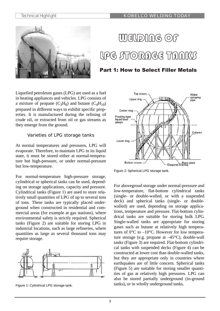

 $\mathbb U$ GU $\mathbb D$ InG $\odot$ f UPG STORAGE TAAKS

# **Part 1: How to Select Filler Metals**

Liquefied petroleum gases (LPG) are used as a fuel in heating appliances and vehicles. LPG consists of a mixture of propane  $(C_3H_8)$  and butane  $(C_4H_{10})$ prepared in different ways to exhibit specific properties. It is manufactured during the refining of crude oil, or extracted from oil or gas streams as they emerge from the ground.

## Varieties of LPG storage tanks

At normal temperatures and pressures, LPG will evaporate. Therefore, to maintain LPG in its liquid state, it must be stored either at normal-temperature but high-pressure, or under normal-pressure but low-temperature.

For normal-temperature high-pressure storage, cylindrical or spherical tanks can be used, depending on storage applications, capacity and pressure. Cylindrical tanks (Figure 1) are used to store relatively small quantities of LPG of up to several tens of tons. These tanks are typically placed underground when constructed in residential and commercial areas (for example at gas stations), where environmental safety is strictly required. Spherical tanks (Figure 2) are suitable for storing LPG in industrial locations, such as large refineries, where quantities as large as several thousand tons may require storage.



Figure 1: Cylindrical LPG storage tank.



Figure 2: Spherical LPG storage tank.

For abovegroud storage under normal-pressure and low-temperature, flat-bottom cylindrical tanks (single- or double-walled, or with a suspended deck) and spherical tanks (single- or doublewalled) are used, depending on storage applications, temperature and pressure. Flat-bottom cylindrical tanks are suitable for storing bulk LPG. Single-walled tanks are appropriate for storing gases such as butane at relatively high temperatures of  $0^{\circ}$ C to  $-10^{\circ}$ C. However for low temperature storage (e.g. propane at  $-45^{\circ}$ C), double-wall tanks (Figure 3) are required. Flat-bottom cylindrical tanks with suspended decks (Figure 4) can be constructed at lower cost than double-walled tanks, but they are appropriate only in countries where earthquakes are of little concern. Spherical tanks (Figure 5) are suitable for storing smaller quantities of gas at relatively high pressures. LPG can also be stored partially underground (in-ground tanks), or in wholly underground tanks.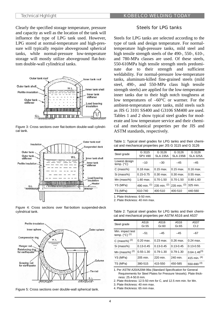Clearly the specified storage temperature, pressure and capacity as well as the location of the tank will influence the type of LPG tank used. However, LPG stored at normal-temperature and high-pressure will typically require aboveground spherical tanks, while normal-pressure low-temperature storage will mostly utilize aboveground flat-bottom double-wall cylindrical tanks.



Figure 3: Cross sections over flat-bottom double-wall cylindrical tank.



Figure 4: Cross sections over flat-bottom suspended-deck cylindrical tank.



Figure 5: Cross sections over double-wall spherical tank.

### Steels for LPG tanks

Steels for LPG tanks are selected according to the type of tank and design temperature. For normaltemperature high-pressure tanks, mild steel and high tensile strength steels of the 490-, 550-, 610-, and 780-MPa classes are used. Of these steels, 550-610MPa high tensile strength steels predominate due to their strength and sufficient weldability. For normal-pressure low-temperature tanks, aluminum-killed fine-grained steels (mild steel, 490-, and 550-MPa class high tensile strength steels) are applied for the low-temperature inner tanks due to their high notch toughness at low temperatures of –60°C or warmer. For the ambient-temperature outer tanks, mild steels such as JIS G 3101 SS400 and G3106 SM400 are used. Tables 1 and 2 show typical steel grades for moderate and low temperature service and their chemical and mechanical properties per the JIS and ASTM standards, respectively.

Table 1: Typical steel grades for LPG tanks and their chemical and mechanical properties per JIS G 3115 and G 3126

| Steel grade                          | G 3115<br><b>SPV 490</b> | G 3126<br><b>SLA 235A</b> | G 3126<br><b>SLA 235B</b>    | G 3126<br><b>SLA 325A</b> |
|--------------------------------------|--------------------------|---------------------------|------------------------------|---------------------------|
| Lowest design<br>temp. $(^{\circ}C)$ | $-10$                    | $-30$                     | $-45$                        | $-45$                     |
| $C$ (mass%)                          | $0.18$ max.              | $0.15$ max.               | $0.15$ max.                  | $0.16$ max.               |
| Si (mass%)                           | $0.15 - 0.75$            | $0.30$ max.               | $0.30$ max.                  | $0.55$ max.               |
| Mn (mass%)                           | $1.60$ max.              | $0.70 - 1.50$             | $0.70 - 1.50$                | $0.80 - 1.60$             |
| YS (MPa)                             | 490 min. $(1)$           | 235 min. $(2)$            | $ 235 \text{ min.}$ $^{(2)}$ | 325 min.                  |
| TS (MPa)                             | 610-740                  | 400-510                   | 400-510                      | 440-560                   |

1. Plate thickness: 6-50 mm.

2. Plate thickness: 40 mm max.

Table 2: Typical steel grades for LPG tanks and their chemical and mechanical properties per ASTM A516 and A537

| Steel grade                                   | A516<br>Gr.55 | A516<br>Gr.60 | A516<br>Gr.65 | A537<br>CI.2        |
|-----------------------------------------------|---------------|---------------|---------------|---------------------|
| Min. impact test<br>temp. $(^{\circ}C)^{(1)}$ | $-51$         | $-45$         | $-45$         | $-67$               |
| C (mass%) $(2)$                               | $0.20$ max.   | $0.23$ max.   | $0.26$ max.   | $0.24$ max.         |
| Si (mass%)                                    | $0.13 - 0.45$ | $0.13 - 0.45$ | $0.13 - 0.45$ | $0.13 - 0.55$       |
| Mn (mass%) $(2)$                              | $0.55 - 1.30$ | $0.79 - 1.30$ | $0.79 - 1.30$ | $0.64 - 1.46^{(3)}$ |
| YS (MPa)                                      | 205 min.      | 220 min.      | 240 min.      | 415 min. $(4)$      |
| TS (MPa)                                      | 380-515       | 415-550       | 450-585       | $550 - 690$ (4)     |

1. Per ASTM A20/A20M-99a (Standard Specification for General Requirements for Steel Plates for Pressure Vessels). Plate thickness: 25.4-50.8 mm.

2. Plate thickness: 12.5-50 mm for C, and 12.5 mm min. for Mn.

3. Plate thickness: 40 mm max.

4. Plate thickness: 65 mm max.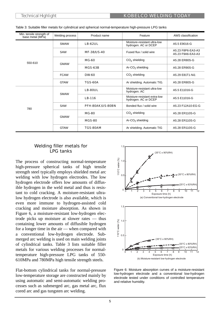| Min. tensile strength of<br>base metal (MPa) | Welding process             | Product name       | Feature                                              | AWS classification                     |
|----------------------------------------------|-----------------------------|--------------------|------------------------------------------------------|----------------------------------------|
|                                              | <b>SMAW</b>                 | <b>LB-62UL</b>     | Moisture-resistant ultra-low<br>hydrogen. AC or DCEP | A5.5 E9016-G                           |
|                                              | <b>SAW</b>                  | <b>MF-38/US-40</b> | Fused flux / solid wire                              | A5.23 F8P6-EA3-A3<br>A5.23 F9A6-EA3-A3 |
| 550-610                                      | <b>GMAW</b>                 | <b>MG-60</b>       | $CO2$ shielding                                      | A5.28 ER80S-G                          |
|                                              |                             | <b>MGS-63B</b>     | Ar-CO <sub>2</sub> shielding                         | A5.28 ER90S-G                          |
|                                              | <b>FCAW</b>                 | <b>DW-60</b>       | $CO2$ shielding                                      | A5.29 E81T1-Ni1                        |
|                                              | <b>GTAW</b>                 | <b>TGS-60A</b>     | Ar shielding. Automatic TIG.                         | A5.28 ER80S-G                          |
|                                              | <b>SMAW</b>                 | <b>LB-80UL</b>     | Moisture-resistant ultra-low<br>hydrogen. AC         | A5.5 E11016-G                          |
|                                              |                             | LB-116             | Moisture-resistant extra-low<br>hydrogen. AC or DCEP | A5.5 E11016-G                          |
| 780                                          | SAW                         | PFH-80AK/US-80BN   | Bonded flux / solid wire                             | A5.23 F12A10-EG-G                      |
|                                              | <b>MG-80</b><br><b>GMAW</b> |                    | $CO2$ shielding                                      | A5.28 ER110S-G                         |
|                                              |                             | <b>MGS-80</b>      | Ar-CO <sub>2</sub> shielding                         | A5.28 ER110S-G                         |
|                                              | <b>GTAW</b>                 | <b>TGS-80AM</b>    | Ar shielding. Automatic TIG                          | A5.28 ER110S-G                         |

## Welding filler metals for LPG tanks

The process of constructing normal-temperature high-pressure spherical tanks of high tensile strength steel typically employs shielded metal arc welding with low hydrogen electrodes. The low hydrogen electrode offers low amounts of diffusible hydrogen in the weld metal and thus is resistant to cold cracking. A moisture-resistant ultralow hydrogen electrode is also available, which is even more immune to hydrogen-assisted cold cracking and moisture absorption. As shown in Figure 6, a moisture-resistant low-hydrogen electrode picks up moisture at slower rates — thus containing lower amounts of diffusible hydrogen for a longer time in the air — when compared with a conventional low-hydrogen electrode. Submerged arc welding is used on main welding joints of cylindrical tanks. Table 3 lists suitable filler metals for various welding processes for normaltemperature high-pressure LPG tanks of 550- 610MPa and 780MPa high tensile strength steels.

Flat-bottom cylindrical tanks for normal-pressure low-temperature storage are constructed mainly by using automatic and semi-automatic welding processes such as submerged arc, gas metal arc, flux cored arc and gas tungsten arc welding.



Figure 6: Moisture absorption curves of a moisture-resistant low-hydrogen electrode and a conventional low-hydrogen electrode tested under conditions of controlled temperature and relative humidity.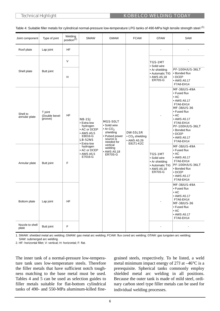## Technical Highlight **KOBELCO WELDING TODAY**

| Joint component           | Type of joint                       | Welding<br>position <sup>(2)</sup> | <b>SMAW</b>                                                                                         | <b>GMAW</b>                                                                                                                                                         | <b>FCAW</b>                                                                                                                                                                                                                                     | <b>GTAW</b>                                                                         | SAW                                                                                                                                                                                                                                                 |
|---------------------------|-------------------------------------|------------------------------------|-----------------------------------------------------------------------------------------------------|---------------------------------------------------------------------------------------------------------------------------------------------------------------------|-------------------------------------------------------------------------------------------------------------------------------------------------------------------------------------------------------------------------------------------------|-------------------------------------------------------------------------------------|-----------------------------------------------------------------------------------------------------------------------------------------------------------------------------------------------------------------------------------------------------|
| Roof plate                | Lap joint                           | <b>HF</b>                          |                                                                                                     |                                                                                                                                                                     |                                                                                                                                                                                                                                                 |                                                                                     |                                                                                                                                                                                                                                                     |
|                           |                                     | $\vee$                             |                                                                                                     |                                                                                                                                                                     |                                                                                                                                                                                                                                                 | <b>TGS-1MT</b>                                                                      |                                                                                                                                                                                                                                                     |
| Shell plate               | Butt joint                          | H                                  |                                                                                                     |                                                                                                                                                                     | • Solid wire<br>• Ar shielding<br>• Automatic TIG<br>• AWS A5.18<br>ER70S-G<br><b>DW-55LSR</b><br>$\bullet$ CO <sub>2</sub> shielding<br>• AWS A5.29<br>E81T1-K2C<br><b>TGS-1MT</b><br>• Solid wire<br>• Ar shielding<br>• AWS A5.18<br>ER70S-G | <b>PF-100H/US-36LT</b><br>• Bonded flux<br>$\cdot$ DCEP<br>• AWS A5.17<br>F7A8-EH14 |                                                                                                                                                                                                                                                     |
| Shell to<br>annular plate | T joint<br>(Double bevel<br>groove) | HF                                 | <b>NB-1SJ</b><br>• Extra-low<br>hydrogen<br>• AC or DCEP<br>• AWS A5.5<br>E8016-G<br><b>LB-52NS</b> | MGS-50LT<br>• Solid wire<br>$\bullet$ Ar-CO <sub>2</sub><br>shielding<br>• Pulsed power<br>source is<br>needed for<br>vertical<br>welding<br>• AWS A5.18<br>ER70S-G |                                                                                                                                                                                                                                                 |                                                                                     | <b>MF-38/US-49A</b><br>• Fused flux<br>$\bullet$ AC<br>• AWS A5.17<br>F7A6-EH14<br>MF-38/US-36<br>• Fused flux<br>$\bullet$ AC<br>• AWS A5.17<br>F7A6-EH14<br><b>PF-100H/US-36LT</b><br>• Bonded flux<br>$\bullet$ DCEP<br>• AWS A5.17<br>F7A8-EH14 |
| Annular plate             | Butt joint                          | $\mathsf F$                        | • Extra-low<br>hydrogen<br>• AC or DCEP<br>• AWS A5.5<br>E7016-G                                    |                                                                                                                                                                     |                                                                                                                                                                                                                                                 | • Automatic TIG                                                                     | <b>MF-38/US-49A</b><br>• Fused flux<br>$\bullet$ AC<br>• AWS A5.17<br>F7A6-EH14<br><b>PF-100H/US-36LT</b><br>• Bonded flux<br>$\bullet$ DCEP<br>• AWS A5.17<br>F7A8-EH14                                                                            |
| Bottom plate              | Lap joint                           | HF                                 |                                                                                                     |                                                                                                                                                                     |                                                                                                                                                                                                                                                 |                                                                                     | <b>MF-38/US-49A</b><br>• Fused flux<br>$\bullet$ AC<br>• AWS A5.17<br>F7A6-EH14<br>MF-38/US-36<br>• Fused flux<br>$\bullet$ AC<br>• AWS A5.17<br>F7A6-EH14                                                                                          |
| Nozzle to shell<br>plate  | <b>Butt joint</b>                   | $\mathsf F$                        |                                                                                                     |                                                                                                                                                                     |                                                                                                                                                                                                                                                 |                                                                                     | $\blacksquare$                                                                                                                                                                                                                                      |

Table 4: Suitable filler metals for cylindrical normal-pressure low-temperature LPG tanks of 490-MPa high tensile strength steel (1)

1. SMAW: shielded metal arc welding; GMAW: gas metal arc welding; FCAW: flux cored arc welding; GTAW: gas tungsten arc welding; SAW: submerged arc welding.

2. HF: horizontal fillet; V: vertical; H: horizontal; F: flat.

The inner tank of a normal-pressure low-temperature tank uses low-temperature steels. Therefore the filler metals that have sufficient notch toughness matching to the base metal must be used. Tables 4 and 5 can be used as selection guides to filler metals suitable for flat-bottom cylindrical tanks of 490- and 550-MPa aluminum-killed finegrained steels, respectively. To be listed, a weld metal minimum impact energy of 27J at –46°C is a prerequisite. Spherical tanks commonly employ shielded metal arc welding in all positions. Because the outer tank is made of mild steel, ordinary carbon steel type filler metals can be used for individual welding processes.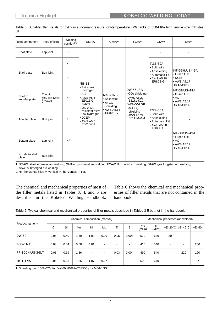| Joint component           | Type of joint                       | Welding<br>position <sup>(2)</sup> | <b>SMAW</b>                                                                                                                                                                    | <b>GMAW</b>                                                                                                                                                                                                                                                                                                                                                                | <b>FCAW</b>                                                            | <b>GTAW</b>                                                                                   | SAW                                                                             |
|---------------------------|-------------------------------------|------------------------------------|--------------------------------------------------------------------------------------------------------------------------------------------------------------------------------|----------------------------------------------------------------------------------------------------------------------------------------------------------------------------------------------------------------------------------------------------------------------------------------------------------------------------------------------------------------------------|------------------------------------------------------------------------|-----------------------------------------------------------------------------------------------|---------------------------------------------------------------------------------|
| Roof plate                | Lap joint                           | <b>HF</b>                          |                                                                                                                                                                                |                                                                                                                                                                                                                                                                                                                                                                            |                                                                        |                                                                                               |                                                                                 |
|                           |                                     | $\vee$                             |                                                                                                                                                                                |                                                                                                                                                                                                                                                                                                                                                                            |                                                                        | <b>TGS-60A</b><br>• Solid wire                                                                |                                                                                 |
| Shell plate               | Butt joint                          | H                                  | <b>NB-1SJ</b>                                                                                                                                                                  | • Ar shielding<br>• Fused flux<br>• Automatic TIG<br>$\cdot$ DCEP<br>• AWS A5.28<br><b>ER80S-G</b><br>• AWS A5.17<br>F7A6-EH14<br><b>DW-55LSR</b><br>$\cdot$ CO <sub>2</sub> shielding<br>• Fused flux<br><b>MGT-1NS</b><br>• AWS A5.29<br>$\bullet$ AC<br>• Solid wire<br>E81T1-K2C<br>• AWS A5.17<br>$\bullet$ Ar-CO <sub>2</sub><br>DWA-55LSR<br>F7A6-EH14<br>shielding | <b>MF-33H/US-49A</b>                                                   |                                                                                               |                                                                                 |
| Shell to<br>annular plate | T joint<br>(Double bevel<br>groove) | <b>HF</b>                          | • Extra-low<br>hydrogen<br>$\bullet$ AC<br>• AWS A5.5<br>E8016-G<br><b>LB-62L</b><br>• Moisture-<br>resistant extra-<br>low hydrogen<br>$\cdot$ DCEP<br>• AWS A5.5<br>E8016-C1 |                                                                                                                                                                                                                                                                                                                                                                            | $\bullet$ Ar-CO <sub>2</sub><br>shielding<br>• AWS A5.29<br>E81T1-Ni1M |                                                                                               | <b>MF-38/US-49A</b>                                                             |
| Annular plate             | Butt joint                          | F                                  |                                                                                                                                                                                | • AWS A5.18<br><b>ER80S-G</b>                                                                                                                                                                                                                                                                                                                                              |                                                                        | <b>TGS-60A</b><br>• Solid wire<br>• Ar shielding<br>• Automatic TIG<br>• AWS A5.28<br>ER80S-G |                                                                                 |
| Bottom plate              | Lap joint                           | <b>HF</b>                          |                                                                                                                                                                                |                                                                                                                                                                                                                                                                                                                                                                            |                                                                        |                                                                                               | <b>MF-38/US-49A</b><br>• Fused flux<br>$\bullet$ AC<br>• AWS A5.17<br>F7A6-EH14 |
| Nozzle to shell<br>plate  | Butt joint                          | F                                  |                                                                                                                                                                                |                                                                                                                                                                                                                                                                                                                                                                            |                                                                        |                                                                                               |                                                                                 |

Table 5: Suitable filler metals for cylindrical normal-pressure low-temperature LPG tanks of 550-MPa high tensile strength steel (1)

1. SMAW: shielded metal arc welding; GMAW: gas metal arc welding; FCAW: flux cored arc welding; GTAW: gas tungsten arc welding; SAW: submerged arc welding.

2. HF: horizontal fillet; V: vertical; H: horizontal; F: flat.

The chemical and mechanical properties of most of the filler metals listed in Tables 3, 4, and 5 are described in the Kobelco Welding Handbook.

Table 6 shows the chemical and mechanical properties of filler metals that are not contained in the handbook.

| Product name (1)       | Chemical composition (mass%) |      |      |      |      |                          |       | Mechanical properties (as-welded) |             |         |                          |         |
|------------------------|------------------------------|------|------|------|------|--------------------------|-------|-----------------------------------|-------------|---------|--------------------------|---------|
|                        | C                            | Si   | Mn   | Ni   | Mo   | Τi                       | B     | YS<br>(MPa)                       | TS<br>(MPa) | vE-20°C | $vE-46^{\circ}C$         | $vE-60$ |
| <b>DW-60</b>           | 0.05                         | 0.40 | 1.40 | 1.00 | 0.09 | 0.05                     | 0.003 | 570                               | 630         | 80      | $\blacksquare$           |         |
| <b>TGS-1MT</b>         | 0.03                         | 0.04 | 0.68 | 4.01 |      |                          |       | 410                               | 540         | -       | $\overline{\phantom{a}}$ | 250     |
| <b>PF-100H/US-36LT</b> | 0.06                         | 0.19 | 1.36 |      |      | 0.03                     | 0.004 | 490                               | 540         |         | 220                      | 190     |
| <b>MGT-1NS</b>         | 0.06                         | 0.33 | 1.36 | 1.07 | 0.27 | $\overline{\phantom{0}}$ |       | 590                               | 670         | -       | $\blacksquare$           | 57      |

Table 6: Typical chemical and mechanical properties of filler metals described in Tables 3-5 but not in the handbook

1. Shielding gas:  $100\%CO_2$  for DW-60; 80%Ar-20%CO<sub>2</sub> for MGT-1NS.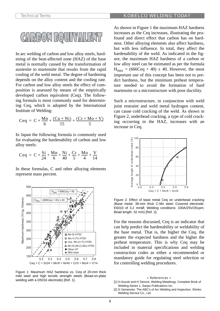

In arc welding of carbon and low alloy steels, hardening of the heat-affected zone (HAZ) of the base metal is normally caused by the transformation of austenite to martensite that results from the rapid cooling of the weld metal. The degree of hardening depends on the alloy content and the cooling rate. For carbon and low alloy steels the effect of composition is assessed by means of the empirically developed carbon equivalent (Ceq). The following formula is most commonly used for determining Ceq, which is adopted by the International Institute of Welding:

$$
Ceq = C + \frac{Mn}{6} + \frac{(Cu + Ni)}{15} + \frac{(Cr + Mo + V)}{5}
$$

In Japan the following formula is commonly used for evaluating the hardenability of carbon and low alloy steels:

$$
Ceq = C + \frac{Si}{24} + \frac{Mn}{6} + \frac{Ni}{40} + \frac{Cr}{5} + \frac{Mo}{4} + \frac{V}{14}
$$

In these formulas, C and other alloying elements represent mass percent.



Figure 1: Maximum HAZ hardness vs. Ceq of 20-mm thick mild steel and high tensile strength steels (Bead-on-plate welding with a D5016 electrode) [Ref. 1].

As shown in Figure 1 the maximum HAZ hardness increases as the Ceq increases, illustrating the profound and direct effect that carbon has on hardness. Other alloying elements also affect hardness, but with less influence. In total, they affect the hardenability of the weld. As indicated in the figure, the maximum HAZ hardness of a carbon or low alloy steel can be estimated as per the formula  $H_{max}$  = (666Ceq + 40)  $\pm$  40. However, the most important use of this concept has been not to predict hardness, but the minimum preheat temperature needed to avoid the formation of hard martensite or a microstructure with poor ductility.

Such a microstructure, in conjunction with weld joint restraint and weld metal hydrogen content, can cause cold cracking of the weld. As shown in Figure 2, underbead cracking, a type of cold cracking occurring in the HAZ, increases with an increase in Ceq.



Figure 2: Effect of base metal Ceq on underbead cracking (Base metal: 38-mm thick C-Mn steel; Covered electrode: E6010 of 3.2 mmØ; Welding conditions: 100A/25V/25cpm; Bead length: 32 mm) [Ref. 2].

For the reasons discussed, Ceq is an indicator that can help predict the hardenability or weldability of the base metal. That is, the higher the Ceq, the greater the expected hardness and the higher the preheat temperature. This is why Ceq may be included in material specifications and welding construction codes as either a recommended or mandatory guide for regulating steel selection or for controlling welding procedures.

### » References «

- [1] H.Suzuki and H.Tamura. Welding Metallurgy. Complete Book of Welding-Series 1, Sanpo Publications Inc.
- [2] S. Yamamoto. The ABC's of Arc Welding and Inspection. Shinko Welding Service Co., Ltd.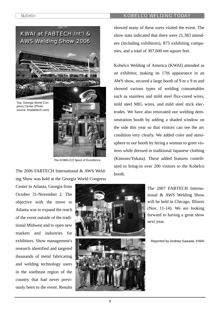# AWS Welding Show 2006 AWS Welding Show 2006KWAI at FABTECH Int'l &



Top: Georgia World Congress Center (Photo source: fmafabtech.com)



The KOBELCO Spool of Excellence

The 2006 FABTECH International & AWS Welding Show was held at the Georgia World Congress

Center in Atlanta, Georgia from October 31-November 2. The objective with the move to Atlanta was to expand the reach of the event outside of the traditional Midwest and to open new markets and industries for exhibitors. Show management's research identified and targeted thousands of metal fabricating and welding technology users in the southeast region of the country that had never previously been to the event. Results



showed many of these users visited the event. The show stats indicated that there were 21,383 attendees (including exhibitors), 873 exhibiting companies, and a total of 307,600 net square feet.

Kobelco Welding of America (KWAI) attended as an exhibitor, making its 17th appearance in an AWS show, secured a large booth of 9 m x 9 m and showed various types of welding consumables such as stainless and mild steel flux-cored wires, mild steel MIG wires, and mild steel stick electrodes. We have also renovated our welding demonstration booth by adding a shaded window on the side this year so that visitors can see the arc condition very clearly. We added color and atmosphere to our booth by hiring a woman to greet visitors while dressed in traditional Japanese clothing (Kimono/Yukata). These added features contributed to bring-in over 200 visitors to the Kobelco booth.

> The 2007 FABTECH International & AWS Welding Show will be held in Chicago, Illinois (Nov. 11-14). We are looking forward to having a great show next year.

Reported by Andrew Sawada, KWAI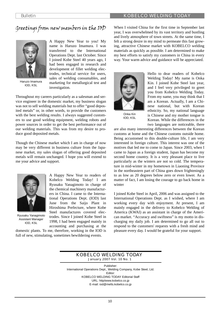# Greetings from new members in the IOD



Haruzo Imamura IOD, KSL

A Happy New Year to you! My name is Haruzo Imamura. I was transferred to the International Operations Dept. last October. Since I joined Kobe Steel 40 years ago, I had been engaged in research and development of fillet welding electrodes, technical service for users, sales of welding consumables, and marketing for metallurgical test and investigation.

Throughout my careers particularly as a salesman and service engineer in the domestic market, my business slogan was not to sell welding materials but to offer "good deposited metals" or, in other words, to provide the customers with the best welding results. I always suggested customers to use good welding equipment, welding robots and power sources in order to get the best performance out of our welding materials. This was from my desire to produce good deposited metals.

Though the Chinese market which I am in charge of now may be very different in business culture from the Japanese market, my sales slogan of offering good deposited metals will remain unchanged. I hope you will extend to me your advice and support.



Ryusaku Yanagimoto Assistant Manager IOD, KSL

A Happy New Year to readers of Kobelco Welding Today! I am Ryusaku Yanagimoto in charge of the chemical machinery manufacturers in China. I came to the International Operations Dept. (IOD) last June from the Saijo Plant in Hiroshima Prefecture, where Kobe Steel manufactures covered electrodes. Since I joined Kobe Steel in 1998, I had been engaged mainly in accounting and purchasing at the

domestic plants. To me, therefore, working in the IOD is full of new, stimulating, sometimes bewildering events.

When I visited China for the first time in September last year, I was overwhelmed by its vast territory and bustling and lively atmosphere of town streets. At the same time, I felt a strong desire in my mind to permeate this fast growing, attractive Chinese market with KOBELCO welding materials as quickly as possible. I am determined to make my best efforts to satisfy my customers in China in every way. Your warm advice and guidance will be appreciated.



Onka Kin IOD, KSL

Hello to dear readers of Kobelco Welding Today! My name is Onka Kin. I joined Kobe Steel last year, and I feel very privileged to greet you from Kobelco Welding Today. From my name, you may think that I am a Korean. Actually, I am a Chinese national, but with Korean ethnicity. So, my national language is Chinese and my mother tongue is Korean. While the differences in the two languages are noticeable, there

are also many interesting differences between the Korean customs at home and the Chinese customs outside home. Being accustomed to this double-culture life, I am very interested in foreign culture. This interest was one of the motives that led me to come to Japan. Since 2003, when I came to Japan as a foreign student, Japan has become my second home country. It is a very pleasant place to live particularly as the winters are not so cold. The temperature in mid-winter in my hometown in Liaoning Province in the northeastern part of China goes down frighteningly to as low as 20 degrees below zero or even lower. As a matter of fact, I am losing the courage to go back home in winter

I joined Kobe Steel in April, 2006 and was assigned to the International Operations Dept. as I wished, where I am working every day with enjoyment. At present, I am mainly engaged in the delivery to Kobelco Welding of America (KWAI) as an assistant in charge of the American market. "Accuracy and swiftness" is my motto in discharging my daily job. I am determined to go all out to respond to the customers' requests with a fresh mind and pleasure every day. I would be grateful for your support.

### KOBELCO WELDING TODAY January 2007 Vol. 10 No. 1

Publisher: International Operations Dept., Welding Company, Kobe Steel, Ltd. Editor: KOBELCO WELDING TODAY Editorial Staff URL: http/www.kobelco.co.jp E-mail: iod@melts.kobelco.co.jp